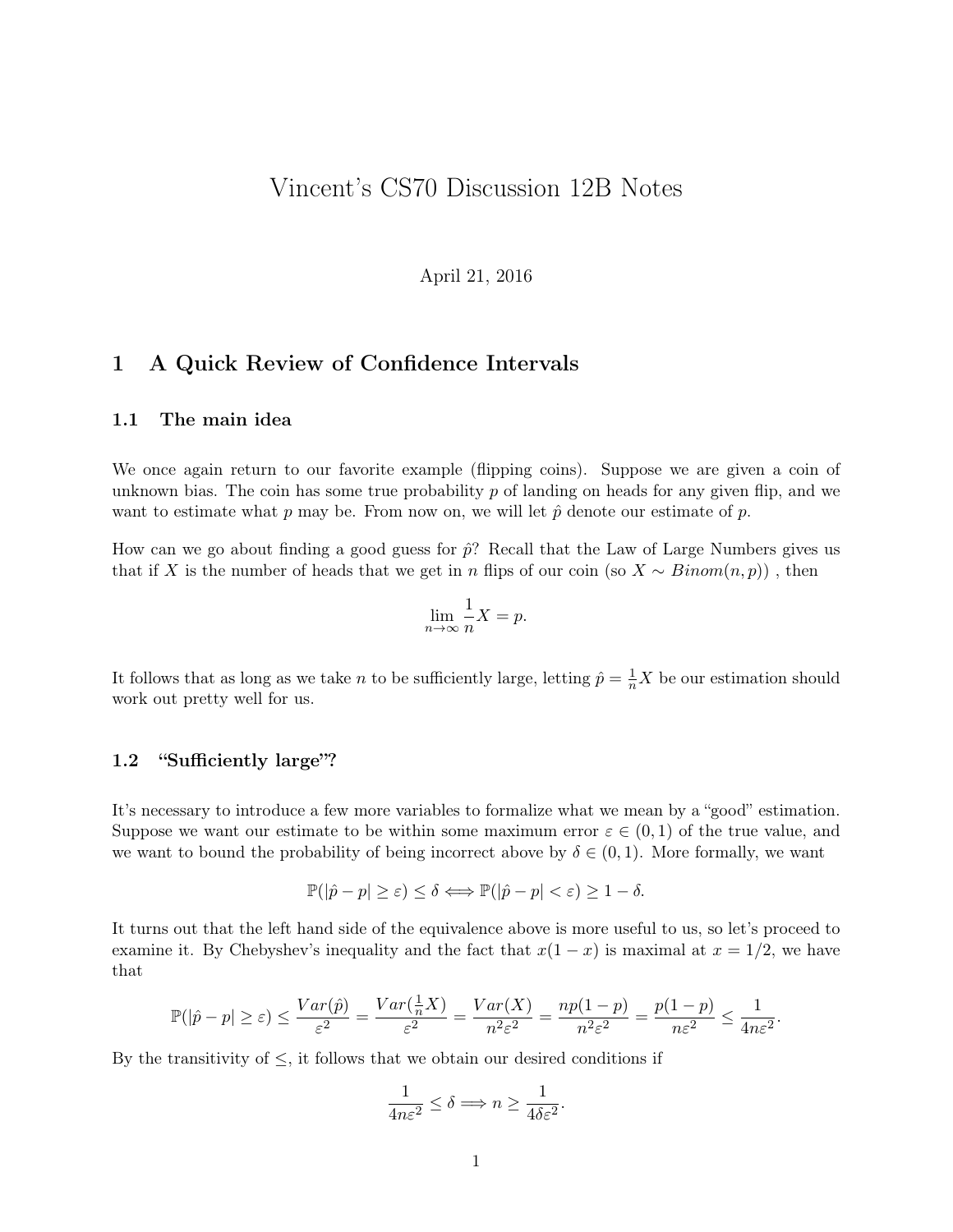# Vincent's CS70 Discussion 12B Notes

April 21, 2016

## 1 A Quick Review of Confidence Intervals

#### 1.1 The main idea

We once again return to our favorite example (flipping coins). Suppose we are given a coin of unknown bias. The coin has some true probability  $p$  of landing on heads for any given flip, and we want to estimate what p may be. From now on, we will let  $\hat{p}$  denote our estimate of p.

How can we go about finding a good guess for  $\hat{p}$ ? Recall that the Law of Large Numbers gives us that if X is the number of heads that we get in n flips of our coin (so  $X \sim Binom(n, p)$ ), then

$$
\lim_{n \to \infty} \frac{1}{n} X = p.
$$

It follows that as long as we take n to be sufficiently large, letting  $\hat{p} = \frac{1}{n}X$  be our estimation should work out pretty well for us.

#### 1.2 "Sufficiently large"?

It's necessary to introduce a few more variables to formalize what we mean by a "good" estimation. Suppose we want our estimate to be within some maximum error  $\varepsilon \in (0,1)$  of the true value, and we want to bound the probability of being incorrect above by  $\delta \in (0,1)$ . More formally, we want

$$
\mathbb{P}(|\hat{p} - p| \geq \varepsilon) \leq \delta \Longleftrightarrow \mathbb{P}(|\hat{p} - p| < \varepsilon) \geq 1 - \delta.
$$

It turns out that the left hand side of the equivalence above is more useful to us, so let's proceed to examine it. By Chebyshev's inequality and the fact that  $x(1-x)$  is maximal at  $x = 1/2$ , we have that

$$
\mathbb{P}(|\hat{p} - p| \geq \varepsilon) \leq \frac{Var(\hat{p})}{\varepsilon^2} = \frac{Var(\frac{1}{n}X)}{\varepsilon^2} = \frac{Var(X)}{n^2 \varepsilon^2} = \frac{np(1-p)}{n^2 \varepsilon^2} = \frac{p(1-p)}{n\varepsilon^2} \leq \frac{1}{4n\varepsilon^2}.
$$

By the transitivity of  $\leq$ , it follows that we obtain our desired conditions if

$$
\frac{1}{4n\varepsilon^2}\leq \delta \Longrightarrow n\geq \frac{1}{4\delta\varepsilon^2}.
$$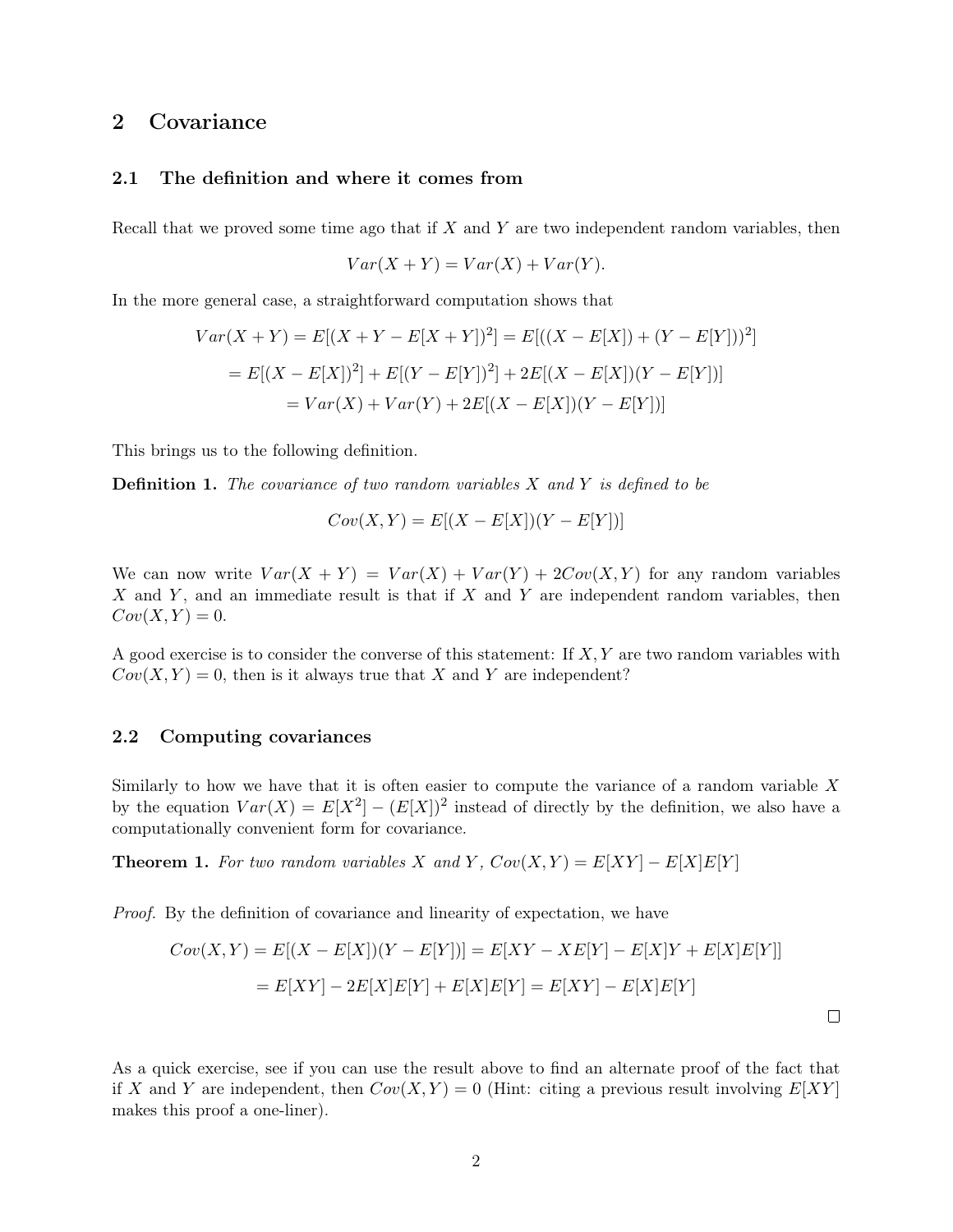## 2 Covariance

#### 2.1 The definition and where it comes from

Recall that we proved some time ago that if  $X$  and  $Y$  are two independent random variables, then

$$
Var(X + Y) = Var(X) + Var(Y).
$$

In the more general case, a straightforward computation shows that

$$
Var(X + Y) = E[(X + Y - E[X + Y])^{2}] = E[((X - E[X]) + (Y - E[Y]))^{2}]
$$

$$
= E[(X - E[X])^{2}] + E[(Y - E[Y])^{2}] + 2E[(X - E[X])(Y - E[Y])]
$$

$$
= Var(X) + Var(Y) + 2E[(X - E[X])(Y - E[Y])]
$$

This brings us to the following definition.

**Definition 1.** The covariance of two random variables  $X$  and  $Y$  is defined to be

$$
Cov(X,Y) = E[(X - E[X])(Y - E[Y])]
$$

We can now write  $Var(X + Y) = Var(X) + Var(Y) + 2Cov(X, Y)$  for any random variables X and Y, and an immediate result is that if X and Y are independent random variables, then  $Cov(X, Y) = 0.$ 

A good exercise is to consider the converse of this statement: If  $X, Y$  are two random variables with  $Cov(X, Y) = 0$ , then is it always true that X and Y are independent?

#### 2.2 Computing covariances

Similarly to how we have that it is often easier to compute the variance of a random variable  $X$ by the equation  $Var(X) = E[X^2] - (E[X])^2$  instead of directly by the definition, we also have a computationally convenient form for covariance.

**Theorem 1.** For two random variables X and Y,  $Cov(X, Y) = E[XY] - E[X]E[Y]$ 

Proof. By the definition of covariance and linearity of expectation, we have

$$
Cov(X, Y) = E[(X - E[X])(Y - E[Y])] = E[XY - XE[Y] - E[X]Y + E[X]E[Y]]
$$
  
= 
$$
E[XY] - 2E[X]E[Y] + E[X]E[Y] = E[XY] - E[X]E[Y]
$$

 $\Box$ 

As a quick exercise, see if you can use the result above to find an alternate proof of the fact that if X and Y are independent, then  $Cov(X, Y) = 0$  (Hint: citing a previous result involving  $E[XY]$ makes this proof a one-liner).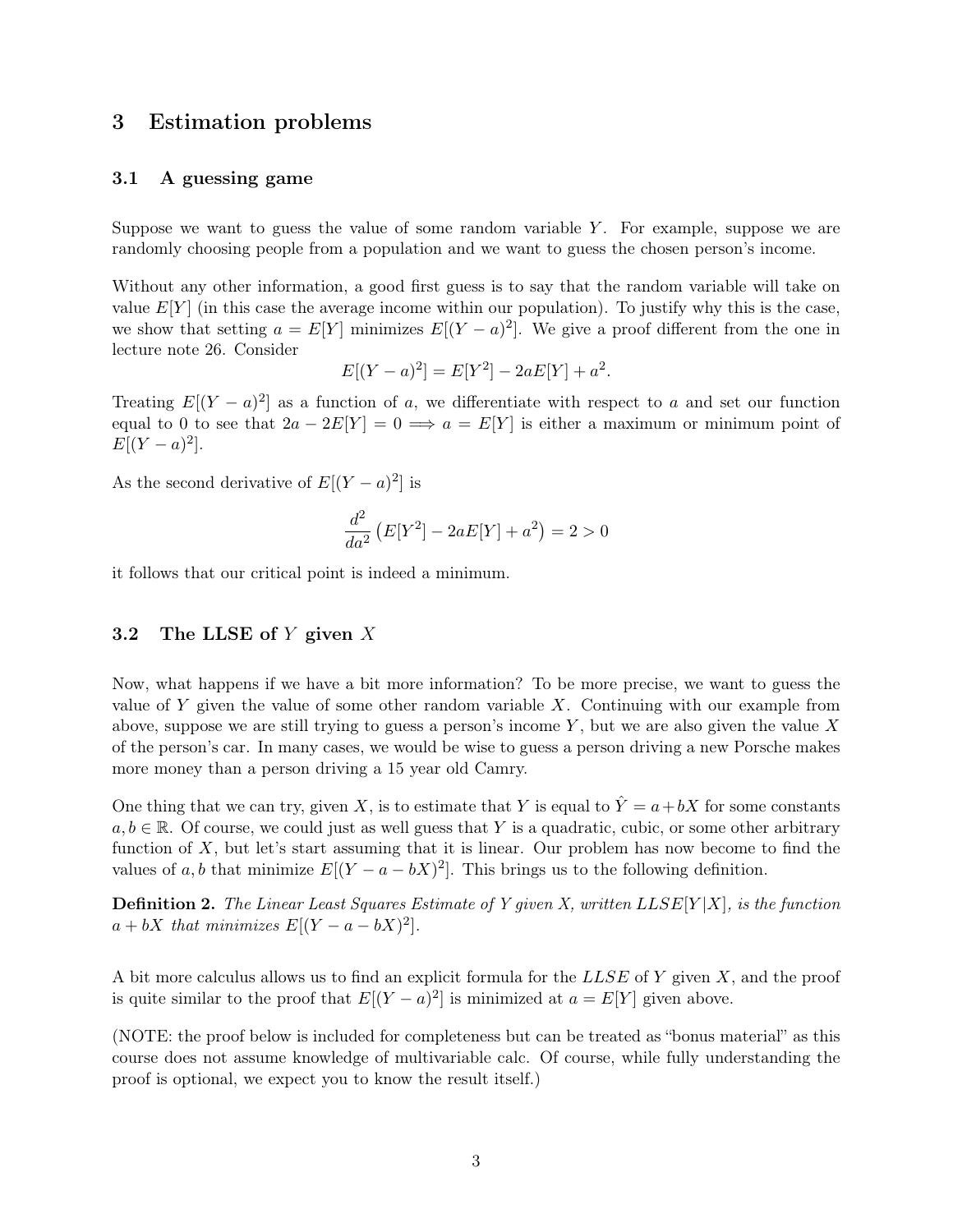## 3 Estimation problems

#### 3.1 A guessing game

Suppose we want to guess the value of some random variable  $Y$ . For example, suppose we are randomly choosing people from a population and we want to guess the chosen person's income.

Without any other information, a good first guess is to say that the random variable will take on value  $E[Y]$  (in this case the average income within our population). To justify why this is the case, we show that setting  $a = E[Y]$  minimizes  $E[(Y - a)^2]$ . We give a proof different from the one in lecture note 26. Consider

$$
E[(Y - a)^{2}] = E[Y^{2}] - 2aE[Y] + a^{2}.
$$

Treating  $E[(Y - a)^2]$  as a function of a, we differentiate with respect to a and set our function equal to 0 to see that  $2a - 2E[Y] = 0 \implies a = E[Y]$  is either a maximum or minimum point of  $E[(Y - a)^2].$ 

As the second derivative of  $E[(Y-a)^2]$  is

$$
\frac{d^2}{da^2} \left( E[Y^2] - 2aE[Y] + a^2 \right) = 2 > 0
$$

it follows that our critical point is indeed a minimum.

### 3.2 The LLSE of Y given X

Now, what happens if we have a bit more information? To be more precise, we want to guess the value of Y given the value of some other random variable  $X$ . Continuing with our example from above, suppose we are still trying to guess a person's income  $Y$ , but we are also given the value X of the person's car. In many cases, we would be wise to guess a person driving a new Porsche makes more money than a person driving a 15 year old Camry.

One thing that we can try, given X, is to estimate that Y is equal to  $\hat{Y} = a + bX$  for some constants  $a, b \in \mathbb{R}$ . Of course, we could just as well guess that Y is a quadratic, cubic, or some other arbitrary function of  $X$ , but let's start assuming that it is linear. Our problem has now become to find the values of a, b that minimize  $E[(Y - a - bX)^2]$ . This brings us to the following definition.

**Definition 2.** The Linear Least Squares Estimate of Y given X, written  $LLSE[Y|X]$ , is the function  $a + bX$  that minimizes  $E[(Y - a - bX)^2]$ .

A bit more calculus allows us to find an explicit formula for the LLSE of Y given X, and the proof is quite similar to the proof that  $E[(Y - a)^2]$  is minimized at  $a = E[Y]$  given above.

(NOTE: the proof below is included for completeness but can be treated as "bonus material" as this course does not assume knowledge of multivariable calc. Of course, while fully understanding the proof is optional, we expect you to know the result itself.)